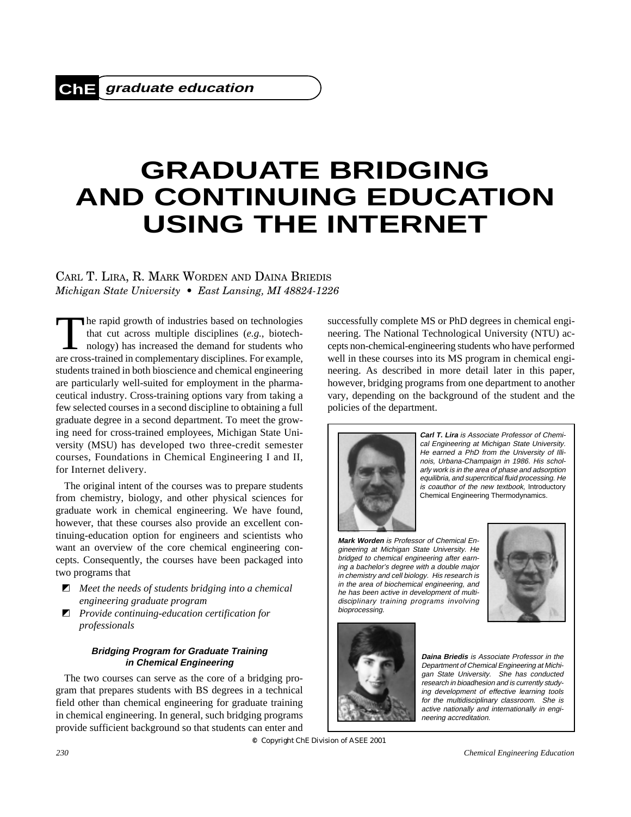# **GRADUATE BRIDGING AND CONTINUING EDUCATION USING THE INTERNET**

## CARL T. LIRA, R. MARK WORDEN AND DAINA BRIEDIS *Michigan State University • East Lansing, MI 48824-1226*

The rapid growth of industries based on technologies<br>that cut across multiple disciplines (e.g., biotechnology) has increased the demand for students who<br>are cross-trained in complementary disciplines. For example that cut across multiple disciplines (*e.g.*, biotechnology) has increased the demand for students who are cross-trained in complementary disciplines. For example, students trained in both bioscience and chemical engineering are particularly well-suited for employment in the pharmaceutical industry. Cross-training options vary from taking a few selected courses in a second discipline to obtaining a full graduate degree in a second department. To meet the growing need for cross-trained employees, Michigan State University (MSU) has developed two three-credit semester courses, Foundations in Chemical Engineering I and II, for Internet delivery.

The original intent of the courses was to prepare students from chemistry, biology, and other physical sciences for graduate work in chemical engineering. We have found, however, that these courses also provide an excellent continuing-education option for engineers and scientists who want an overview of the core chemical engineering concepts. Consequently, the courses have been packaged into two programs that

- $\blacksquare$  Meet the needs of students bridging into a chemical *engineering graduate program*
- $\blacksquare$  Provide continuing-education certification for *professionals*

#### **Bridging Program for Graduate Training in Chemical Engineering**

The two courses can serve as the core of a bridging program that prepares students with BS degrees in a technical field other than chemical engineering for graduate training in chemical engineering. In general, such bridging programs provide sufficient background so that students can enter and

successfully complete MS or PhD degrees in chemical engineering. The National Technological University (NTU) accepts non-chemical-engineering students who have performed well in these courses into its MS program in chemical engineering. As described in more detail later in this paper, however, bridging programs from one department to another vary, depending on the background of the student and the policies of the department.



**Carl T. Lira** is Associate Professor of Chemical Engineering at Michigan State University. He earned a PhD from the University of Illinois, Urbana-Champaign in 1986. His scholarly work is in the area of phase and adsorption equilibria, and supercritical fluid processing. He is coauthor of the new textbook, Introductory Chemical Engineering Thermodynamics.

**Mark Worden** is Professor of Chemical Engineering at Michigan State University. He bridged to chemical engineering after earning a bachelor's degree with a double major in chemistry and cell biology. His research is in the area of biochemical engineering, and he has been active in development of multidisciplinary training programs involving bioprocessing.





**Daina Briedis** is Associate Professor in the Department of Chemical Engineering at Michigan State University. She has conducted research in bioadhesion and is currently studying development of effective learning tools for the multidisciplinary classroom. She is active nationally and internationally in engineering accreditation.

**©** *Copyright ChE Division of ASEE 2001*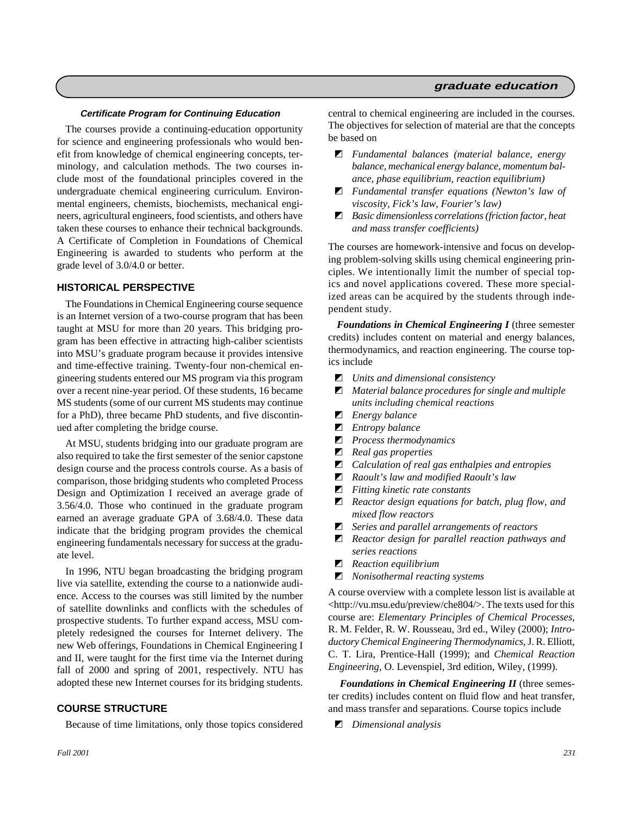## **graduate education**

#### **Certificate Program for Continuing Education**

The courses provide a continuing-education opportunity for science and engineering professionals who would benefit from knowledge of chemical engineering concepts, terminology, and calculation methods. The two courses include most of the foundational principles covered in the undergraduate chemical engineering curriculum. Environmental engineers, chemists, biochemists, mechanical engineers, agricultural engineers, food scientists, and others have taken these courses to enhance their technical backgrounds. A Certificate of Completion in Foundations of Chemical Engineering is awarded to students who perform at the grade level of 3.0/4.0 or better.

#### **HISTORICAL PERSPECTIVE**

The Foundations in Chemical Engineering course sequence is an Internet version of a two-course program that has been taught at MSU for more than 20 years. This bridging program has been effective in attracting high-caliber scientists into MSU's graduate program because it provides intensive and time-effective training. Twenty-four non-chemical engineering students entered our MS program via this program over a recent nine-year period. Of these students, 16 became MS students (some of our current MS students may continue for a PhD), three became PhD students, and five discontinued after completing the bridge course.

At MSU, students bridging into our graduate program are also required to take the first semester of the senior capstone design course and the process controls course. As a basis of comparison, those bridging students who completed Process Design and Optimization I received an average grade of 3.56/4.0. Those who continued in the graduate program earned an average graduate GPA of 3.68/4.0. These data indicate that the bridging program provides the chemical engineering fundamentals necessary for success at the graduate level.

In 1996, NTU began broadcasting the bridging program live via satellite, extending the course to a nationwide audience. Access to the courses was still limited by the number of satellite downlinks and conflicts with the schedules of prospective students. To further expand access, MSU completely redesigned the courses for Internet delivery. The new Web offerings, Foundations in Chemical Engineering I and II, were taught for the first time via the Internet during fall of 2000 and spring of 2001, respectively. NTU has adopted these new Internet courses for its bridging students.

#### **COURSE STRUCTURE**

Because of time limitations, only those topics considered

central to chemical engineering are included in the courses. The objectives for selection of material are that the concepts be based on

- i *Fundamental balances (material balance, energy balance, mechanical energy balance, momentum balance, phase equilibrium, reaction equilibrium)*
- $\blacksquare$  *Fundamental transfer equations (Newton's law of viscosity, Fick's law, Fourier's law)*
- $\blacksquare$  *Basic dimensionless correlations (friction factor, heat and mass transfer coefficients)*

The courses are homework-intensive and focus on developing problem-solving skills using chemical engineering principles. We intentionally limit the number of special topics and novel applications covered. These more specialized areas can be acquired by the students through independent study.

*Foundations in Chemical Engineering I* (three semester credits) includes content on material and energy balances, thermodynamics, and reaction engineering. The course topics include

- $\blacksquare$  *Units and dimensional consistency*
- $\blacksquare$  *Material balance procedures for single and multiple units including chemical reactions*
- **E** *Energy balance*
- $\blacksquare$  *Entropy balance*
- $\blacksquare$  *Process thermodynamics*
- $\blacksquare$  *Real gas properties*
- $\blacksquare$  *Calculation of real gas enthalpies and entropies*
- i *Raoult's law and modified Raoult's law*
- $\blacksquare$  *Fitting kinetic rate constants*
- $\blacksquare$  *Reactor design equations for batch, plug flow, and mixed flow reactors*
- $\blacksquare$  *Series and parallel arrangements of reactors*
- $\blacksquare$  *Reactor design for parallel reaction pathways and series reactions*
- **Z** *Reaction equilibrium*
- $\blacksquare$  *Nonisothermal reacting systems*

A course overview with a complete lesson list is available at <http://vu.msu.edu/preview/che804/>. The texts used for this course are: *Elementary Principles of Chemical Processes*, R. M. Felder, R. W. Rousseau, 3rd ed., Wiley (2000); *Introductory Chemical Engineering Thermodynamics*, J. R. Elliott, C. T. Lira, Prentice-Hall (1999); and *Chemical Reaction Engineering*, O. Levenspiel, 3rd edition, Wiley, (1999).

*Foundations in Chemical Engineering II* (three semester credits) includes content on fluid flow and heat transfer, and mass transfer and separations*.* Course topics include

**Z** *Dimensional analysis*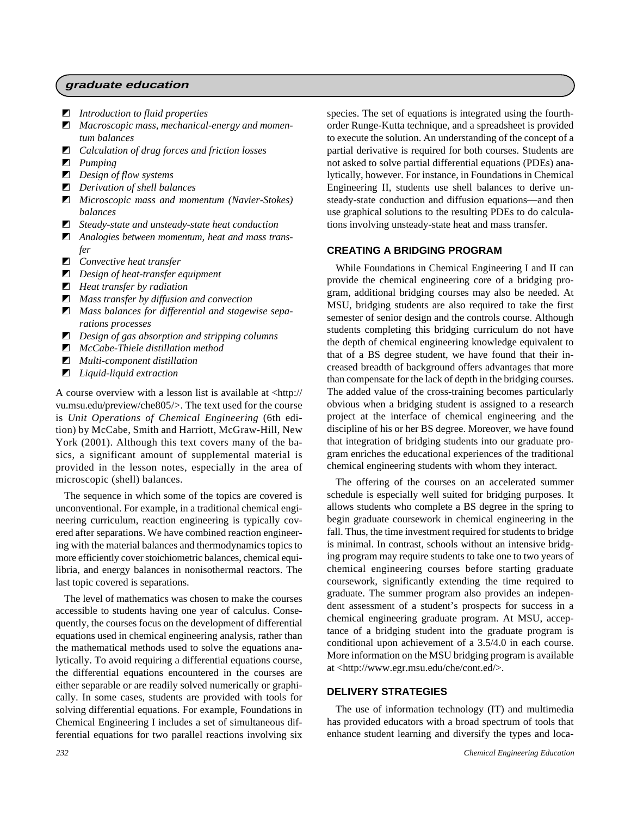#### **graduate education**

- $\blacksquare$  *Introduction to fluid properties*
- $\blacksquare$  *Macroscopic mass, mechanical-energy and momentum balances*
- $\blacksquare$  *Calculation of drag forces and friction losses*
- **z** *Pumping*
- $\blacksquare$  *Design of flow systems*
- $\blacksquare$  *Derivation of shell balances*
- $\blacksquare$  *Microscopic mass and momentum (Navier-Stokes) balances*
- $\blacksquare$  *Steady-state and unsteady-state heat conduction*
- $\blacksquare$  Analogies between momentum, heat and mass trans*fer*
- $\blacksquare$  *Convective heat transfer*
- $\blacksquare$  *Design of heat-transfer equipment*
- $\blacksquare$  *Heat transfer by radiation*
- $\blacksquare$  *Mass transfer by diffusion and convection*
- $\blacksquare$  Mass balances for differential and stagewise sepa*rations processes*
- $\Box$  *Design of gas absorption and stripping columns*
- $\blacksquare$  *McCabe-Thiele distillation method*
- $\blacksquare$  *Multi-component distillation*
- $\blacksquare$  *Liquid-liquid extraction*

A course overview with a lesson list is available at <http:// vu.msu.edu/preview/che805/>. The text used for the course is *Unit Operations of Chemical Engineering* (6th edition) by McCabe, Smith and Harriott, McGraw-Hill, New York (2001). Although this text covers many of the basics, a significant amount of supplemental material is provided in the lesson notes, especially in the area of microscopic (shell) balances.

The sequence in which some of the topics are covered is unconventional. For example, in a traditional chemical engineering curriculum, reaction engineering is typically covered after separations. We have combined reaction engineering with the material balances and thermodynamics topics to more efficiently cover stoichiometric balances, chemical equilibria, and energy balances in nonisothermal reactors. The last topic covered is separations.

The level of mathematics was chosen to make the courses accessible to students having one year of calculus. Consequently, the courses focus on the development of differential equations used in chemical engineering analysis, rather than the mathematical methods used to solve the equations analytically. To avoid requiring a differential equations course, the differential equations encountered in the courses are either separable or are readily solved numerically or graphically. In some cases, students are provided with tools for solving differential equations. For example, Foundations in Chemical Engineering I includes a set of simultaneous differential equations for two parallel reactions involving six

species. The set of equations is integrated using the fourthorder Runge-Kutta technique, and a spreadsheet is provided to execute the solution. An understanding of the concept of a partial derivative is required for both courses. Students are not asked to solve partial differential equations (PDEs) analytically, however. For instance, in Foundations in Chemical Engineering II, students use shell balances to derive unsteady-state conduction and diffusion equations—and then use graphical solutions to the resulting PDEs to do calculations involving unsteady-state heat and mass transfer.

### **CREATING A BRIDGING PROGRAM**

While Foundations in Chemical Engineering I and II can provide the chemical engineering core of a bridging program, additional bridging courses may also be needed. At MSU, bridging students are also required to take the first semester of senior design and the controls course. Although students completing this bridging curriculum do not have the depth of chemical engineering knowledge equivalent to that of a BS degree student, we have found that their increased breadth of background offers advantages that more than compensate for the lack of depth in the bridging courses. The added value of the cross-training becomes particularly obvious when a bridging student is assigned to a research project at the interface of chemical engineering and the discipline of his or her BS degree. Moreover, we have found that integration of bridging students into our graduate program enriches the educational experiences of the traditional chemical engineering students with whom they interact.

The offering of the courses on an accelerated summer schedule is especially well suited for bridging purposes. It allows students who complete a BS degree in the spring to begin graduate coursework in chemical engineering in the fall. Thus, the time investment required for students to bridge is minimal. In contrast, schools without an intensive bridging program may require students to take one to two years of chemical engineering courses before starting graduate coursework, significantly extending the time required to graduate. The summer program also provides an independent assessment of a student's prospects for success in a chemical engineering graduate program. At MSU, acceptance of a bridging student into the graduate program is conditional upon achievement of a 3.5/4.0 in each course. More information on the MSU bridging program is available at <http://www.egr.msu.edu/che/cont.ed/>.

## **DELIVERY STRATEGIES**

The use of information technology (IT) and multimedia has provided educators with a broad spectrum of tools that enhance student learning and diversify the types and loca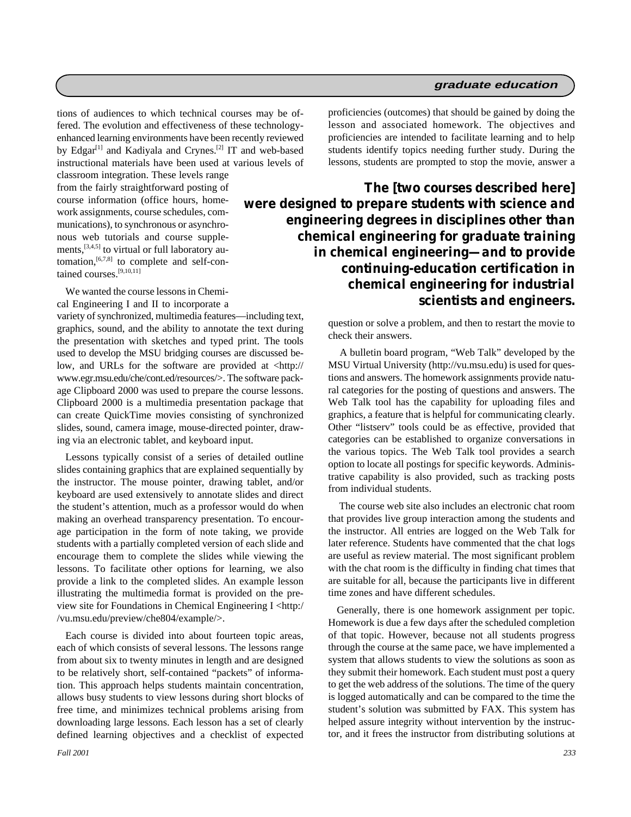tions of audiences to which technical courses may be offered. The evolution and effectiveness of these technologyenhanced learning environments have been recently reviewed by Edgar<sup>[1]</sup> and Kadiyala and Crynes.<sup>[2]</sup> IT and web-based instructional materials have been used at various levels of

classroom integration. These levels range from the fairly straightforward posting of course information (office hours, homework assignments, course schedules, communications), to synchronous or asynchronous web tutorials and course supplements,[3,4,5] to virtual or full laboratory automation,<sup>[6,7,8]</sup> to complete and self-contained courses.[9,10,11]

We wanted the course lessons in Chemical Engineering I and II to incorporate a

variety of synchronized, multimedia features—including text, graphics, sound, and the ability to annotate the text during the presentation with sketches and typed print. The tools used to develop the MSU bridging courses are discussed below, and URLs for the software are provided at <http:// www.egr.msu.edu/che/cont.ed/resources/>. The software package Clipboard 2000 was used to prepare the course lessons. Clipboard 2000 is a multimedia presentation package that can create QuickTime movies consisting of synchronized slides, sound, camera image, mouse-directed pointer, drawing via an electronic tablet, and keyboard input.

Lessons typically consist of a series of detailed outline slides containing graphics that are explained sequentially by the instructor. The mouse pointer, drawing tablet, and/or keyboard are used extensively to annotate slides and direct the student's attention, much as a professor would do when making an overhead transparency presentation. To encourage participation in the form of note taking, we provide students with a partially completed version of each slide and encourage them to complete the slides while viewing the lessons. To facilitate other options for learning, we also provide a link to the completed slides. An example lesson illustrating the multimedia format is provided on the preview site for Foundations in Chemical Engineering I <http:/ /vu.msu.edu/preview/che804/example/>.

Each course is divided into about fourteen topic areas, each of which consists of several lessons. The lessons range from about six to twenty minutes in length and are designed to be relatively short, self-contained "packets" of information. This approach helps students maintain concentration, allows busy students to view lessons during short blocks of free time, and minimizes technical problems arising from downloading large lessons. Each lesson has a set of clearly defined learning objectives and a checklist of expected proficiencies (outcomes) that should be gained by doing the lesson and associated homework. The objectives and proficiencies are intended to facilitate learning and to help students identify topics needing further study. During the lessons, students are prompted to stop the movie, answer a

*The [two courses described here] were designed to prepare students with science and engineering degrees in disciplines other than chemical engineering for graduate training in chemical engineering—and to provide continuing-education certification in chemical engineering for industrial scientists and engineers.*

> question or solve a problem, and then to restart the movie to check their answers.

> A bulletin board program, "Web Talk" developed by the MSU Virtual University (http://vu.msu.edu) is used for questions and answers. The homework assignments provide natural categories for the posting of questions and answers. The Web Talk tool has the capability for uploading files and graphics, a feature that is helpful for communicating clearly. Other "listserv" tools could be as effective, provided that categories can be established to organize conversations in the various topics. The Web Talk tool provides a search option to locate all postings for specific keywords. Administrative capability is also provided, such as tracking posts from individual students.

> The course web site also includes an electronic chat room that provides live group interaction among the students and the instructor. All entries are logged on the Web Talk for later reference. Students have commented that the chat logs are useful as review material. The most significant problem with the chat room is the difficulty in finding chat times that are suitable for all, because the participants live in different time zones and have different schedules.

> Generally, there is one homework assignment per topic. Homework is due a few days after the scheduled completion of that topic. However, because not all students progress through the course at the same pace, we have implemented a system that allows students to view the solutions as soon as they submit their homework. Each student must post a query to get the web address of the solutions. The time of the query is logged automatically and can be compared to the time the student's solution was submitted by FAX. This system has helped assure integrity without intervention by the instructor, and it frees the instructor from distributing solutions at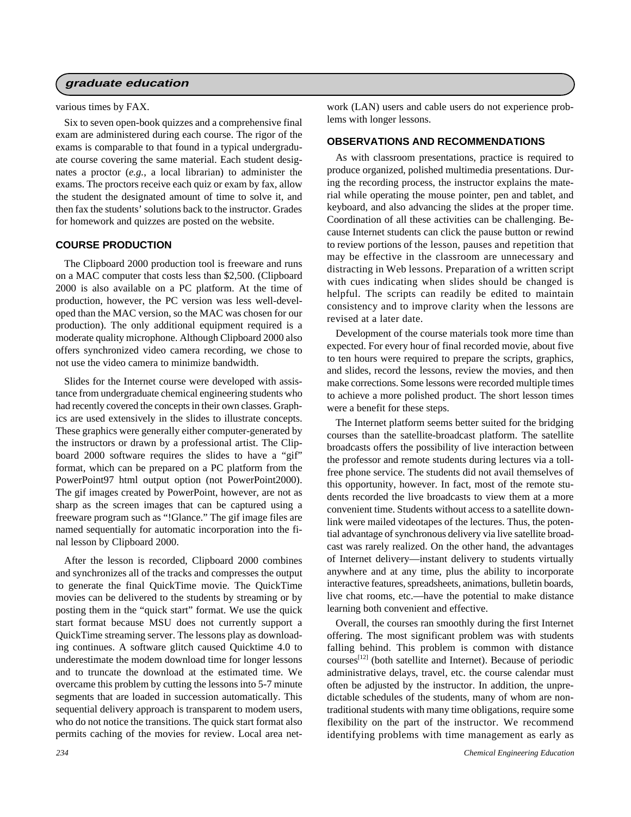#### **graduate education**

various times by FAX.

Six to seven open-book quizzes and a comprehensive final exam are administered during each course. The rigor of the exams is comparable to that found in a typical undergraduate course covering the same material. Each student designates a proctor (*e.g.*, a local librarian) to administer the exams. The proctors receive each quiz or exam by fax, allow the student the designated amount of time to solve it, and then fax the students' solutions back to the instructor. Grades for homework and quizzes are posted on the website.

#### **COURSE PRODUCTION**

The Clipboard 2000 production tool is freeware and runs on a MAC computer that costs less than \$2,500. (Clipboard 2000 is also available on a PC platform. At the time of production, however, the PC version was less well-developed than the MAC version, so the MAC was chosen for our production). The only additional equipment required is a moderate quality microphone. Although Clipboard 2000 also offers synchronized video camera recording, we chose to not use the video camera to minimize bandwidth.

Slides for the Internet course were developed with assistance from undergraduate chemical engineering students who had recently covered the concepts in their own classes. Graphics are used extensively in the slides to illustrate concepts. These graphics were generally either computer-generated by the instructors or drawn by a professional artist. The Clipboard 2000 software requires the slides to have a "gif" format, which can be prepared on a PC platform from the PowerPoint97 html output option (not PowerPoint2000). The gif images created by PowerPoint, however, are not as sharp as the screen images that can be captured using a freeware program such as "!Glance." The gif image files are named sequentially for automatic incorporation into the final lesson by Clipboard 2000.

After the lesson is recorded, Clipboard 2000 combines and synchronizes all of the tracks and compresses the output to generate the final QuickTime movie. The QuickTime movies can be delivered to the students by streaming or by posting them in the "quick start" format. We use the quick start format because MSU does not currently support a QuickTime streaming server. The lessons play as downloading continues. A software glitch caused Quicktime 4.0 to underestimate the modem download time for longer lessons and to truncate the download at the estimated time. We overcame this problem by cutting the lessons into 5-7 minute segments that are loaded in succession automatically. This sequential delivery approach is transparent to modem users, who do not notice the transitions. The quick start format also permits caching of the movies for review. Local area network (LAN) users and cable users do not experience problems with longer lessons.

#### **OBSERVATIONS AND RECOMMENDATIONS**

As with classroom presentations, practice is required to produce organized, polished multimedia presentations. During the recording process, the instructor explains the material while operating the mouse pointer, pen and tablet, and keyboard, and also advancing the slides at the proper time. Coordination of all these activities can be challenging. Because Internet students can click the pause button or rewind to review portions of the lesson, pauses and repetition that may be effective in the classroom are unnecessary and distracting in Web lessons. Preparation of a written script with cues indicating when slides should be changed is helpful. The scripts can readily be edited to maintain consistency and to improve clarity when the lessons are revised at a later date.

Development of the course materials took more time than expected. For every hour of final recorded movie, about five to ten hours were required to prepare the scripts, graphics, and slides, record the lessons, review the movies, and then make corrections. Some lessons were recorded multiple times to achieve a more polished product. The short lesson times were a benefit for these steps.

The Internet platform seems better suited for the bridging courses than the satellite-broadcast platform. The satellite broadcasts offers the possibility of live interaction between the professor and remote students during lectures via a tollfree phone service. The students did not avail themselves of this opportunity, however. In fact, most of the remote students recorded the live broadcasts to view them at a more convenient time. Students without access to a satellite downlink were mailed videotapes of the lectures. Thus, the potential advantage of synchronous delivery via live satellite broadcast was rarely realized. On the other hand, the advantages of Internet delivery—instant delivery to students virtually anywhere and at any time, plus the ability to incorporate interactive features, spreadsheets, animations, bulletin boards, live chat rooms, etc.—have the potential to make distance learning both convenient and effective.

Overall, the courses ran smoothly during the first Internet offering. The most significant problem was with students falling behind. This problem is common with distance courses[12] (both satellite and Internet). Because of periodic administrative delays, travel, etc. the course calendar must often be adjusted by the instructor. In addition, the unpredictable schedules of the students, many of whom are nontraditional students with many time obligations, require some flexibility on the part of the instructor. We recommend identifying problems with time management as early as